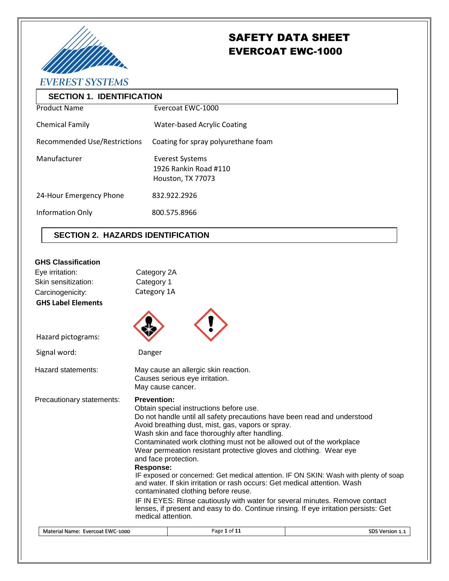

# SAFETY DATA SHEET EVERCOAT EWC-1000

**EVEREST SYSTEMS** 

| <b>SECTION 1. IDENTIFICATION</b>    |                                     |  |  |
|-------------------------------------|-------------------------------------|--|--|
| <b>Product Name</b>                 | Evercoat EWC-1000                   |  |  |
| <b>Chemical Family</b>              | <b>Water-based Acrylic Coating</b>  |  |  |
| <b>Recommended Use/Restrictions</b> | Coating for spray polyurethane foam |  |  |
| Manufacturer                        | Everest Systems                     |  |  |
|                                     | 1926 Rankin Road #110               |  |  |
|                                     | Houston, TX 77073                   |  |  |
| 24-Hour Emergency Phone             | 832.922.2926                        |  |  |
| Information Only                    | 800.575.8966                        |  |  |
|                                     |                                     |  |  |

# **SECTION 2. HAZARDS IDENTIFICATION**

# **GHS Classification**

| Eye irritation:                  | Category 2A                                                                                                                                                                                                                                                                                                                                                                                                                                                                                                                                                                                                                                                                                                                                                                                                                                |                                                                        |  |                 |
|----------------------------------|--------------------------------------------------------------------------------------------------------------------------------------------------------------------------------------------------------------------------------------------------------------------------------------------------------------------------------------------------------------------------------------------------------------------------------------------------------------------------------------------------------------------------------------------------------------------------------------------------------------------------------------------------------------------------------------------------------------------------------------------------------------------------------------------------------------------------------------------|------------------------------------------------------------------------|--|-----------------|
| Skin sensitization:              | Category 1                                                                                                                                                                                                                                                                                                                                                                                                                                                                                                                                                                                                                                                                                                                                                                                                                                 |                                                                        |  |                 |
| Carcinogenicity:                 | Category 1A                                                                                                                                                                                                                                                                                                                                                                                                                                                                                                                                                                                                                                                                                                                                                                                                                                |                                                                        |  |                 |
| <b>GHS Label Elements</b>        |                                                                                                                                                                                                                                                                                                                                                                                                                                                                                                                                                                                                                                                                                                                                                                                                                                            |                                                                        |  |                 |
| Hazard pictograms:               |                                                                                                                                                                                                                                                                                                                                                                                                                                                                                                                                                                                                                                                                                                                                                                                                                                            |                                                                        |  |                 |
| Signal word:                     | Danger                                                                                                                                                                                                                                                                                                                                                                                                                                                                                                                                                                                                                                                                                                                                                                                                                                     |                                                                        |  |                 |
| Hazard statements:               | May cause cancer.                                                                                                                                                                                                                                                                                                                                                                                                                                                                                                                                                                                                                                                                                                                                                                                                                          | May cause an allergic skin reaction.<br>Causes serious eye irritation. |  |                 |
| Precautionary statements:        | <b>Prevention:</b><br>Obtain special instructions before use.<br>Do not handle until all safety precautions have been read and understood<br>Avoid breathing dust, mist, gas, vapors or spray.<br>Wash skin and face thoroughly after handling.<br>Contaminated work clothing must not be allowed out of the workplace<br>Wear permeation resistant protective gloves and clothing. Wear eye<br>and face protection.<br>Response:<br>IF exposed or concerned: Get medical attention. IF ON SKIN: Wash with plenty of soap<br>and water. If skin irritation or rash occurs: Get medical attention. Wash<br>contaminated clothing before reuse.<br>IF IN EYES: Rinse cautiously with water for several minutes. Remove contact<br>lenses, if present and easy to do. Continue rinsing. If eye irritation persists: Get<br>medical attention. |                                                                        |  |                 |
| Material Name: Evercoat EWC-1000 |                                                                                                                                                                                                                                                                                                                                                                                                                                                                                                                                                                                                                                                                                                                                                                                                                                            | Page 1 of 11                                                           |  | SDS Version 1.1 |
|                                  |                                                                                                                                                                                                                                                                                                                                                                                                                                                                                                                                                                                                                                                                                                                                                                                                                                            |                                                                        |  |                 |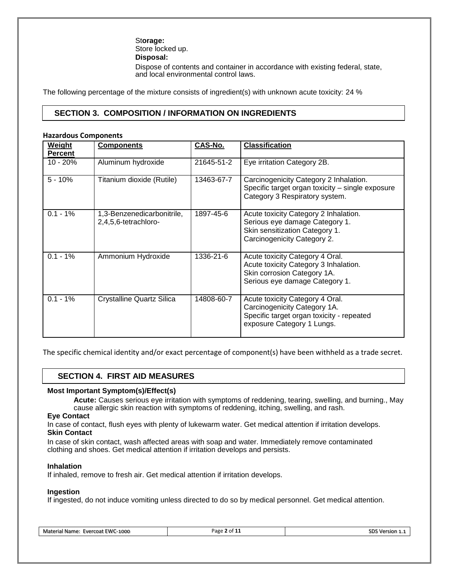St**orage:** Store locked up. **Disposal:** Dispose of contents and container in accordance with existing federal, state, and local environmental control laws.

The following percentage of the mixture consists of ingredient(s) with unknown acute toxicity: 24 %

# **SECTION 3. COMPOSITION / INFORMATION ON INGREDIENTS**

#### **Hazardous Components**

| <b>Weight</b><br><b>Percent</b> | <b>Components</b>                                  | CAS-No.    | <b>Classification</b>                                                                                                                      |
|---------------------------------|----------------------------------------------------|------------|--------------------------------------------------------------------------------------------------------------------------------------------|
| $10 - 20%$                      | Aluminum hydroxide                                 | 21645-51-2 | Eye irritation Category 2B.                                                                                                                |
| $5 - 10%$                       | Titanium dioxide (Rutile)                          | 13463-67-7 | Carcinogenicity Category 2 Inhalation.<br>Specific target organ toxicity - single exposure<br>Category 3 Respiratory system.               |
| $0.1 - 1%$                      | 1,3-Benzenedicarbonitrile,<br>2,4,5,6-tetrachloro- | 1897-45-6  | Acute toxicity Category 2 Inhalation.<br>Serious eye damage Category 1.<br>Skin sensitization Category 1.<br>Carcinogenicity Category 2.   |
| $0.1 - 1%$                      | Ammonium Hydroxide                                 | 1336-21-6  | Acute toxicity Category 4 Oral.<br>Acute toxicity Category 3 Inhalation.<br>Skin corrosion Category 1A.<br>Serious eye damage Category 1.  |
| $0.1 - 1%$                      | <b>Crystalline Quartz Silica</b>                   | 14808-60-7 | Acute toxicity Category 4 Oral.<br>Carcinogenicity Category 1A.<br>Specific target organ toxicity - repeated<br>exposure Category 1 Lungs. |

The specific chemical identity and/or exact percentage of component(s) have been withheld as a trade secret.

# **SECTION 4. FIRST AID MEASURES**

# **Most Important Symptom(s)/Effect(s)**

**Acute:** Causes serious eye irritation with symptoms of reddening, tearing, swelling, and burning., May cause allergic skin reaction with symptoms of reddening, itching, swelling, and rash.

#### **Eye Contact**

In case of contact, flush eyes with plenty of lukewarm water. Get medical attention if irritation develops. **Skin Contact**

In case of skin contact, wash affected areas with soap and water. Immediately remove contaminated clothing and shoes. Get medical attention if irritation develops and persists.

#### **Inhalation**

If inhaled, remove to fresh air. Get medical attention if irritation develops.

#### **Ingestion**

If ingested, do not induce vomiting unless directed to do so by medical personnel. Get medical attention.

| Material Name: Evercoat EWC-1000 | Page 2 of 11 | SDS Version 1.1 |
|----------------------------------|--------------|-----------------|
|----------------------------------|--------------|-----------------|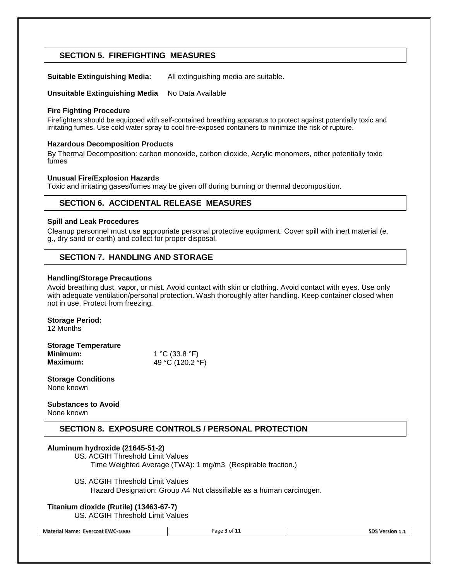# **SECTION 5. FIREFIGHTING MEASURES**

**Suitable Extinguishing Media:** All extinguishing media are suitable.

**Unsuitable Extinguishing Media** No Data Available

# **Fire Fighting Procedure**

Firefighters should be equipped with self-contained breathing apparatus to protect against potentially toxic and irritating fumes. Use cold water spray to cool fire-exposed containers to minimize the risk of rupture.

# **Hazardous Decomposition Products**

By Thermal Decomposition: carbon monoxide, carbon dioxide, Acrylic monomers, other potentially toxic fumes

# **Unusual Fire/Explosion Hazards**

Toxic and irritating gases/fumes may be given off during burning or thermal decomposition.

# **SECTION 6. ACCIDENTAL RELEASE MEASURES**

# **Spill and Leak Procedures**

Cleanup personnel must use appropriate personal protective equipment. Cover spill with inert material (e. g., dry sand or earth) and collect for proper disposal.

# **SECTION 7. HANDLING AND STORAGE**

# **Handling/Storage Precautions**

Avoid breathing dust, vapor, or mist. Avoid contact with skin or clothing. Avoid contact with eyes. Use only with adequate ventilation/personal protection. Wash thoroughly after handling. Keep container closed when not in use. Protect from freezing.

# **Storage Period:**

12 Months

| <b>Storage Temperature</b> |                  |
|----------------------------|------------------|
| Minimum:                   | 1 °C (33.8 °F)   |
| <b>Maximum:</b>            | 49 °C (120.2 °F) |

**Storage Conditions** None known

#### **Substances to Avoid** None known

# **SECTION 8. EXPOSURE CONTROLS / PERSONAL PROTECTION**

# **Aluminum hydroxide (21645-51-2)**

- US. ACGIH Threshold Limit Values Time Weighted Average (TWA): 1 mg/m3 (Respirable fraction.)
- US. ACGIH Threshold Limit Values
	- Hazard Designation: Group A4 Not classifiable as a human carcinogen.

# **Titanium dioxide (Rutile) (13463-67-7)**

US. ACGIH Threshold Limit Values

Material Name: Evercoat EWC-1000 **Page 3** of 11 SDS Version 1.1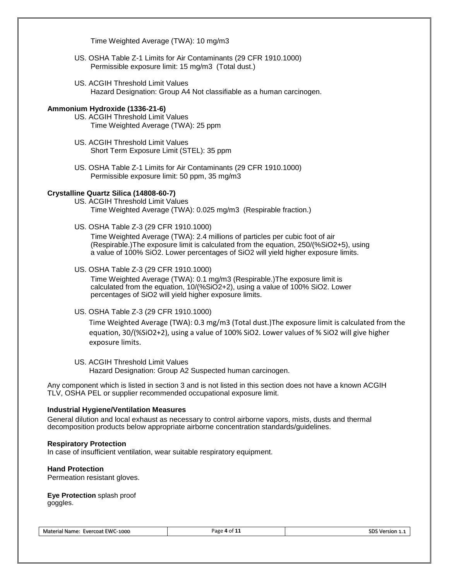Time Weighted Average (TWA): 10 mg/m3

- US. OSHA Table Z-1 Limits for Air Contaminants (29 CFR 1910.1000) Permissible exposure limit: 15 mg/m3 (Total dust.)
- US. ACGIH Threshold Limit Values Hazard Designation: Group A4 Not classifiable as a human carcinogen.

### **Ammonium Hydroxide (1336-21-6)**

- US. ACGIH Threshold Limit Values Time Weighted Average (TWA): 25 ppm
- US. ACGIH Threshold Limit Values Short Term Exposure Limit (STEL): 35 ppm
- US. OSHA Table Z-1 Limits for Air Contaminants (29 CFR 1910.1000) Permissible exposure limit: 50 ppm, 35 mg/m3

# **Crystalline Quartz Silica (14808-60-7)**

- US. ACGIH Threshold Limit Values Time Weighted Average (TWA): 0.025 mg/m3 (Respirable fraction.)
- US. OSHA Table Z-3 (29 CFR 1910.1000)

Time Weighted Average (TWA): 2.4 millions of particles per cubic foot of air (Respirable.)The exposure limit is calculated from the equation, 250/(%SiO2+5), using a value of 100% SiO2. Lower percentages of SiO2 will yield higher exposure limits.

US. OSHA Table Z-3 (29 CFR 1910.1000)

Time Weighted Average (TWA): 0.1 mg/m3 (Respirable.)The exposure limit is calculated from the equation, 10/(%SiO2+2), using a value of 100% SiO2. Lower percentages of SiO2 will yield higher exposure limits.

US. OSHA Table Z-3 (29 CFR 1910.1000)

Time Weighted Average (TWA): 0.3 mg/m3 (Total dust.)The exposure limit is calculated from the equation, 30/(%SiO2+2), using a value of 100% SiO2. Lower values of % SiO2 will give higher exposure limits.

US. ACGIH Threshold Limit Values Hazard Designation: Group A2 Suspected human carcinogen.

Any component which is listed in section 3 and is not listed in this section does not have a known ACGIH TLV, OSHA PEL or supplier recommended occupational exposure limit.

#### **Industrial Hygiene/Ventilation Measures**

General dilution and local exhaust as necessary to control airborne vapors, mists, dusts and thermal decomposition products below appropriate airborne concentration standards/guidelines.

#### **Respiratory Protection**

In case of insufficient ventilation, wear suitable respiratory equipment.

#### **Hand Protection**

Permeation resistant gloves.

#### **Eye Protection** splash proof goggles.

Material Name: Evercoat EWC-1000 **Page 4** of 11 SUS Version 1.1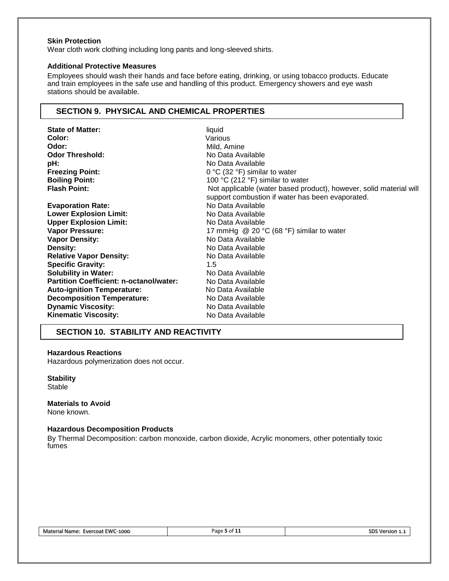### **Skin Protection**

Wear cloth work clothing including long pants and long-sleeved shirts.

#### **Additional Protective Measures**

Employees should wash their hands and face before eating, drinking, or using tobacco products. Educate and train employees in the safe use and handling of this product. Emergency showers and eye wash stations should be available.

# **SECTION 9. PHYSICAL AND CHEMICAL PROPERTIES**

| <b>State of Matter:</b>                        | liquid                                                             |
|------------------------------------------------|--------------------------------------------------------------------|
| Color:                                         | Various                                                            |
| Odor:                                          | Mild, Amine                                                        |
| <b>Odor Threshold:</b>                         | No Data Available                                                  |
| pH:                                            | No Data Available                                                  |
| <b>Freezing Point:</b>                         | 0 °C (32 °F) similar to water                                      |
| <b>Boiling Point:</b>                          | 100 °C (212 °F) similar to water                                   |
| <b>Flash Point:</b>                            | Not applicable (water based product), however, solid material will |
|                                                | support combustion if water has been evaporated.                   |
| <b>Evaporation Rate:</b>                       | No Data Available                                                  |
| <b>Lower Explosion Limit:</b>                  | No Data Available                                                  |
| <b>Upper Explosion Limit:</b>                  | No Data Available                                                  |
| <b>Vapor Pressure:</b>                         | 17 mmHg $\circledcirc$ 20 °C (68 °F) similar to water              |
| <b>Vapor Density:</b>                          | No Data Available                                                  |
| Density:                                       | No Data Available                                                  |
| <b>Relative Vapor Density:</b>                 | No Data Available                                                  |
| <b>Specific Gravity:</b>                       | $1.5\,$                                                            |
| <b>Solubility in Water:</b>                    | No Data Available                                                  |
| <b>Partition Coefficient: n-octanol/water:</b> | No Data Available                                                  |
| <b>Auto-ignition Temperature:</b>              | No Data Available                                                  |
| <b>Decomposition Temperature:</b>              | No Data Available                                                  |
| <b>Dynamic Viscosity:</b>                      | No Data Available                                                  |
| <b>Kinematic Viscosity:</b>                    | No Data Available                                                  |
|                                                |                                                                    |

# **SECTION 10. STABILITY AND REACTIVITY**

#### **Hazardous Reactions**

Hazardous polymerization does not occur.

**Stability**

**Stable** 

#### **Materials to Avoid** None known.

# **Hazardous Decomposition Products**

By Thermal Decomposition: carbon monoxide, carbon dioxide, Acrylic monomers, other potentially toxic fumes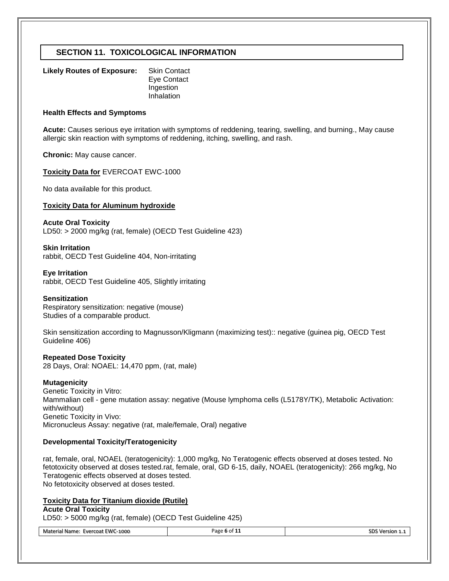# **SECTION 11. TOXICOLOGICAL INFORMATION**

| <b>Likely Routes of Exposure:</b> | <b>Skin Contact</b> |
|-----------------------------------|---------------------|
|                                   | Eye Contact         |
|                                   | Ingestion           |
|                                   | Inhalation          |

#### **Health Effects and Symptoms**

**Acute:** Causes serious eye irritation with symptoms of reddening, tearing, swelling, and burning., May cause allergic skin reaction with symptoms of reddening, itching, swelling, and rash.

**Chronic:** May cause cancer.

#### **Toxicity Data for** EVERCOAT EWC-1000

No data available for this product.

### **Toxicity Data for Aluminum hydroxide**

#### **Acute Oral Toxicity**

LD50: > 2000 mg/kg (rat, female) (OECD Test Guideline 423)

#### **Skin Irritation**

rabbit, OECD Test Guideline 404, Non-irritating

#### **Eye Irritation** rabbit, OECD Test Guideline 405, Slightly irritating

#### **Sensitization**

Respiratory sensitization: negative (mouse) Studies of a comparable product.

Skin sensitization according to Magnusson/Kligmann (maximizing test):: negative (guinea pig, OECD Test Guideline 406)

#### **Repeated Dose Toxicity**

28 Days, Oral: NOAEL: 14,470 ppm, (rat, male)

#### **Mutagenicity**

Genetic Toxicity in Vitro: Mammalian cell - gene mutation assay: negative (Mouse lymphoma cells (L5178Y/TK), Metabolic Activation: with/without) Genetic Toxicity in Vivo: Micronucleus Assay: negative (rat, male/female, Oral) negative

#### **Developmental Toxicity/Teratogenicity**

rat, female, oral, NOAEL (teratogenicity): 1,000 mg/kg, No Teratogenic effects observed at doses tested. No fetotoxicity observed at doses tested.rat, female, oral, GD 6-15, daily, NOAEL (teratogenicity): 266 mg/kg, No Teratogenic effects observed at doses tested. No fetotoxicity observed at doses tested.

#### **Toxicity Data for Titanium dioxide (Rutile)**

#### **Acute Oral Toxicity**

LD50: > 5000 mg/kg (rat, female) (OECD Test Guideline 425)

| Material Name: Evercoat EWC-1000 | Page 6 of 11 | SDS Version 1.1 |
|----------------------------------|--------------|-----------------|
|                                  |              |                 |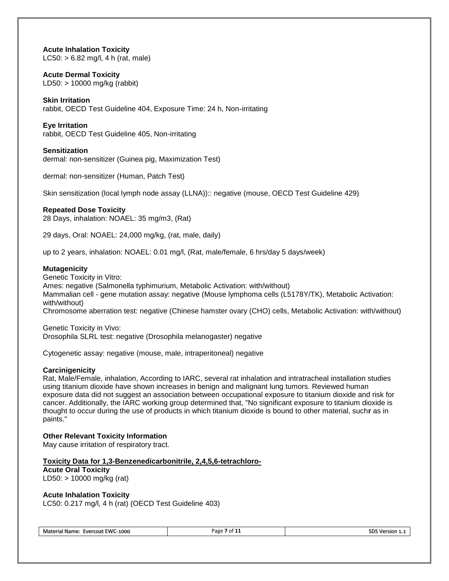**Acute Inhalation Toxicity**  $LC50: > 6.82$  mg/l, 4 h (rat, male)

# **Acute Dermal Toxicity**

LD50: > 10000 mg/kg (rabbit)

# **Skin Irritation**

rabbit, OECD Test Guideline 404, Exposure Time: 24 h, Non-irritating

# **Eye Irritation**

rabbit, OECD Test Guideline 405, Non-irritating

# **Sensitization**

dermal: non-sensitizer (Guinea pig, Maximization Test)

dermal: non-sensitizer (Human, Patch Test)

Skin sensitization (local lymph node assay (LLNA)):: negative (mouse, OECD Test Guideline 429)

# **Repeated Dose Toxicity**

28 Days, inhalation: NOAEL: 35 mg/m3, (Rat)

29 days, Oral: NOAEL: 24,000 mg/kg, (rat, male, daily)

up to 2 years, inhalation: NOAEL: 0.01 mg/l, (Rat, male/female, 6 hrs/day 5 days/week)

# **Mutagenicity**

Genetic Toxicity in Vitro: Ames: negative (Salmonella typhimurium, Metabolic Activation: with/without) Mammalian cell - gene mutation assay: negative (Mouse lymphoma cells (L5178Y/TK), Metabolic Activation: with/without) Chromosome aberration test: negative (Chinese hamster ovary (CHO) cells, Metabolic Activation: with/without)

Genetic Toxicity in Vivo: Drosophila SLRL test: negative (Drosophila melanogaster) negative

Cytogenetic assay: negative (mouse, male, intraperitoneal) negative

# **Carcinigenicity**

Rat, Male/Female, inhalation, According to IARC, several rat inhalation and intratracheal installation studies using titanium dioxide have shown increases in benign and malignant lung tumors. Reviewed human exposure data did not suggest an association between occupational exposure to titanium dioxide and risk for cancer. Additionally, the IARC working group determined that, "No significant exposure to titanium dioxide is thought to occur during the use of products in which titanium dioxide is bound to other material, such**r** as in paints."

# **Other Relevant Toxicity Information**

May cause irritation of respiratory tract.

# **Toxicity Data for 1,3-Benzenedicarbonitrile, 2,4,5,6-tetrachloro-**

**Acute Oral Toxicity** LD50: > 10000 mg/kg (rat)

# **Acute Inhalation Toxicity**

LC50: 0.217 mg/l, 4 h (rat) (OECD Test Guideline 403)

Material Name: Evercoat EWC-1000 **Page 7** of 11 **Page 7** of 11 SDS Version 1.1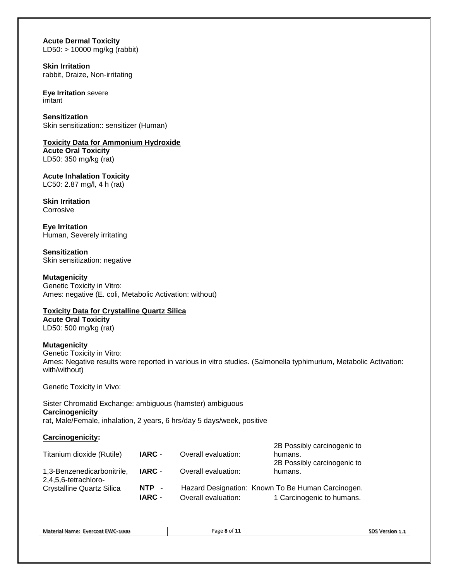# **Acute Dermal Toxicity** LD50: > 10000 mg/kg (rabbit)

**Skin Irritation** rabbit, Draize, Non-irritating

**Eye Irritation** severe irritant

**Sensitization** Skin sensitization:: sensitizer (Human)

**Toxicity Data for Ammonium Hydroxide Acute Oral Toxicity**

LD50: 350 mg/kg (rat)

**Acute Inhalation Toxicity** LC50: 2.87 mg/l, 4 h (rat)

**Skin Irritation** Corrosive

**Eye Irritation** Human, Severely irritating

**Sensitization** Skin sensitization: negative

**Mutagenicity** Genetic Toxicity in Vitro: Ames: negative (E. coli, Metabolic Activation: without)

# **Toxicity Data for Crystalline Quartz Silica**

**Acute Oral Toxicity** LD50: 500 mg/kg (rat)

# **Mutagenicity**

Genetic Toxicity in Vitro: Ames: Negative results were reported in various in vitro studies. (Salmonella typhimurium, Metabolic Activation: with/without)

Genetic Toxicity in Vivo:

Sister Chromatid Exchange: ambiguous (hamster) ambiguous **Carcinogenicity** rat, Male/Female, inhalation, 2 years, 6 hrs/day 5 days/week, positive

# **Carcinogenicity:**

| Titanium dioxide (Rutile)                          | IARC -                 | Overall evaluation: | 2B Possibly carcinogenic to<br>humans.<br>2B Possibly carcinogenic to          |
|----------------------------------------------------|------------------------|---------------------|--------------------------------------------------------------------------------|
| 1,3-Benzenedicarbonitrile,<br>2,4,5,6-tetrachloro- | IARC -                 | Overall evaluation: | humans.                                                                        |
| <b>Crystalline Quartz Silica</b>                   | NTP -<br><b>IARC -</b> | Overall evaluation: | Hazard Designation: Known To Be Human Carcinogen.<br>1 Carcinogenic to humans. |

Material Name: Evercoat EWC-1000 Page 8 of 11 SDS Version 1.1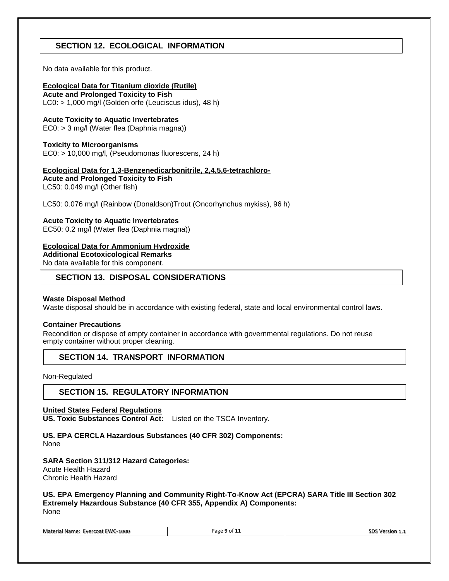# **SECTION 12. ECOLOGICAL INFORMATION**

No data available for this product.

# **Ecological Data for Titanium dioxide (Rutile)**

**Acute and Prolonged Toxicity to Fish** LC0: > 1,000 mg/l (Golden orfe (Leuciscus idus), 48 h)

# **Acute Toxicity to Aquatic Invertebrates**

EC0: > 3 mg/l (Water flea (Daphnia magna))

# **Toxicity to Microorganisms**

EC0: > 10,000 mg/l, (Pseudomonas fluorescens, 24 h)

# **Ecological Data for 1,3-Benzenedicarbonitrile, 2,4,5,6-tetrachloro-**

**Acute and Prolonged Toxicity to Fish** LC50: 0.049 mg/l (Other fish)

LC50: 0.076 mg/l (Rainbow (Donaldson)Trout (Oncorhynchus mykiss), 96 h)

# **Acute Toxicity to Aquatic Invertebrates**

EC50: 0.2 mg/l (Water flea (Daphnia magna))

# **Ecological Data for Ammonium Hydroxide**

**Additional Ecotoxicological Remarks**

No data available for this component.

# **SECTION 13. DISPOSAL CONSIDERATIONS**

# **Waste Disposal Method**

Waste disposal should be in accordance with existing federal, state and local environmental control laws.

# **Container Precautions**

Recondition or dispose of empty container in accordance with governmental regulations. Do not reuse empty container without proper cleaning.

# **SECTION 14. TRANSPORT INFORMATION**

Non-Regulated

# **SECTION 15. REGULATORY INFORMATION**

# **United States Federal Regulations**

**US. Toxic Substances Control Act:** Listed on the TSCA Inventory.

# **US. EPA CERCLA Hazardous Substances (40 CFR 302) Components:**

None

# **SARA Section 311/312 Hazard Categories:**

Acute Health Hazard Chronic Health Hazard

**US. EPA Emergency Planning and Community Right-To-Know Act (EPCRA) SARA Title III Section 302 Extremely Hazardous Substance (40 CFR 355, Appendix A) Components:** None

| Material Name: Evercoat EWC-1000 | Page 9 of 11 | SDS Version 1.1 |
|----------------------------------|--------------|-----------------|
|----------------------------------|--------------|-----------------|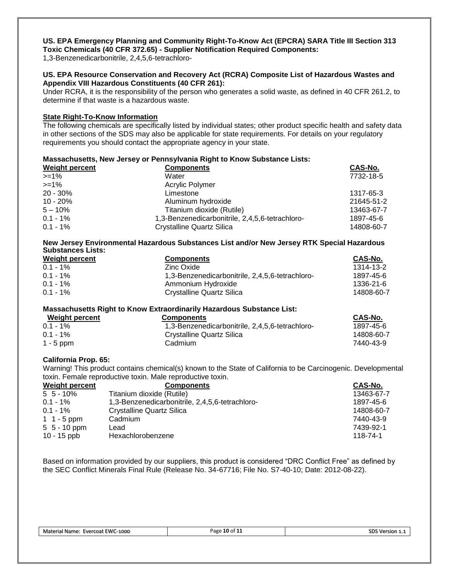#### **US. EPA Emergency Planning and Community Right-To-Know Act (EPCRA) SARA Title III Section 313 Toxic Chemicals (40 CFR 372.65) - Supplier Notification Required Components:**

1,3-Benzenedicarbonitrile, 2,4,5,6-tetrachloro-

# **US. EPA Resource Conservation and Recovery Act (RCRA) Composite List of Hazardous Wastes and Appendix VIII Hazardous Constituents (40 CFR 261):**

Under RCRA, it is the responsibility of the person who generates a solid waste, as defined in 40 CFR 261.2, to determine if that waste is a hazardous waste.

# **State Right-To-Know Information**

The following chemicals are specifically listed by individual states; other product specific health and safety data in other sections of the SDS may also be applicable for state requirements. For details on your regulatory requirements you should contact the appropriate agency in your state.

| Massachusetts, New Jersey or Pennsylvania Right to Know Substance Lists: |                                                 |            |  |
|--------------------------------------------------------------------------|-------------------------------------------------|------------|--|
| <b>Weight percent</b>                                                    | <b>Components</b>                               | CAS-No.    |  |
| $>=1\%$                                                                  | Water                                           | 7732-18-5  |  |
| $>=1%$                                                                   | Acrylic Polymer                                 |            |  |
| $20 - 30\%$                                                              | Limestone                                       | 1317-65-3  |  |
| $10 - 20%$                                                               | Aluminum hydroxide                              | 21645-51-2 |  |
| $5 - 10\%$                                                               | Titanium dioxide (Rutile)                       | 13463-67-7 |  |
| $0.1 - 1\%$                                                              | 1,3-Benzenedicarbonitrile, 2,4,5,6-tetrachloro- | 1897-45-6  |  |
| $0.1 - 1\%$                                                              | <b>Crystalline Quartz Silica</b>                | 14808-60-7 |  |

# **New Jersey Environmental Hazardous Substances List and/or New Jersey RTK Special Hazardous Substances Lists:**

| <b>Weight percent</b> | <b>Components</b>                               | CAS-No.    |
|-----------------------|-------------------------------------------------|------------|
| $0.1 - 1\%$           | Zinc Oxide                                      | 1314-13-2  |
| $0.1 - 1\%$           | 1,3-Benzenedicarbonitrile, 2,4,5,6-tetrachloro- | 1897-45-6  |
| $0.1 - 1\%$           | Ammonium Hydroxide                              | 1336-21-6  |
| $0.1 - 1\%$           | Crystalline Quartz Silica                       | 14808-60-7 |

# **Massachusetts Right to Know Extraordinarily Hazardous Substance List:**

| Weight percent | <b>Components</b>                               | <b>CAS-No.</b> |
|----------------|-------------------------------------------------|----------------|
| $0.1 - 1\%$    | 1.3-Benzenedicarbonitrile, 2.4.5.6-tetrachloro- | 1897-45-6      |
| $0.1 - 1\%$    | Crystalline Quartz Silica                       | 14808-60-7     |
| $1 - 5$ ppm    | Cadmium                                         | 7440-43-9      |

# **California Prop. 65:**

Warning! This product contains chemical(s) known to the State of California to be Carcinogenic. Developmental toxin. Female reproductive toxin. Male reproductive toxin.

| <b>Weight percent</b> | <b>Components</b>                               | CAS-No.    |
|-----------------------|-------------------------------------------------|------------|
| $5\,5 - 10\%$         | Titanium dioxide (Rutile)                       | 13463-67-7 |
| $0.1 - 1\%$           | 1,3-Benzenedicarbonitrile, 2,4,5,6-tetrachloro- | 1897-45-6  |
| $0.1 - 1\%$           | Crystalline Quartz Silica                       | 14808-60-7 |
| 1 1 - 5 ppm           | Cadmium                                         | 7440-43-9  |
| $5\;5$ - 10 ppm       | Lead                                            | 7439-92-1  |
| 10 - 15 ppb           | Hexachlorobenzene                               | 118-74-1   |

Based on information provided by our suppliers, this product is considered "DRC Conflict Free" as defined by the SEC Conflict Minerals Final Rule (Release No. 34-67716; File No. S7-40-10; Date: 2012-08-22).

| Evercoat EWC-1000<br>Material Name. | $10$ of $1$ .<br>Page | sior'<br>. |
|-------------------------------------|-----------------------|------------|
|-------------------------------------|-----------------------|------------|